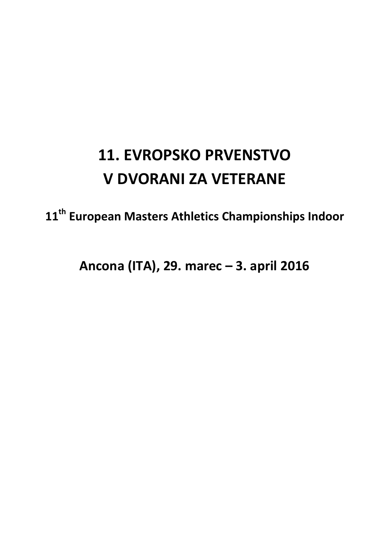# **11. EVROPSKO PRVENSTVO V DVORANI ZA VETERANE**

**11th European Masters Athletics Championships Indoor** 

**Ancona (ITA), 29. marec – 3. april 2016**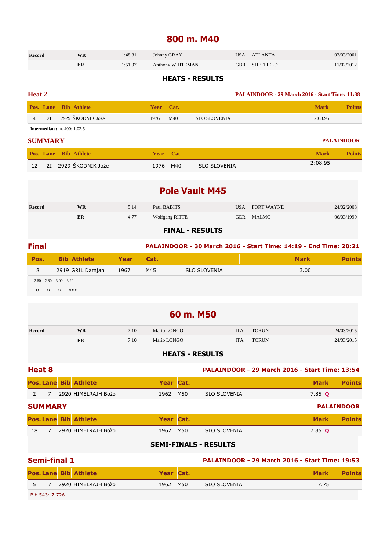### **800 m. M40**

| <b>Record</b> | WR | 1:48.81 | Johnny GRAY      | <b>USA</b> | ATLANTA       | 02/03/2001 |
|---------------|----|---------|------------------|------------|---------------|------------|
|               |    | 1:51.97 | Anthony WHITEMAN |            | GBR SHEFFIELD | 11/02/2012 |

#### **HEATS - RESULTS**

#### **Heat 2 PALAINDOOR - 29 March 2016 - Start Time: 11:38**

| 2929 ŠKODNIK Jože<br>2I<br>2:08.95<br>M40<br>SLO SLOVENIA<br>1976 |  | <b>Pos. Lane Bib Athlete</b> | Year |  | Mark | <b>Points</b> |
|-------------------------------------------------------------------|--|------------------------------|------|--|------|---------------|
|                                                                   |  |                              |      |  |      |               |

**Intermediate:** m. 400: 1.02.5

#### **SUMMARY PALAINDOOR**

|  | <b>Pos. Lane Bib Athlete</b> | Year Cat. |     |              | Mark    | <b>Points</b> |
|--|------------------------------|-----------|-----|--------------|---------|---------------|
|  | 12 – 2I – 2929 ŠKODNIK Jože  | 1976      | M40 | SLO SLOVENIA | 2:08.95 |               |

|        |           |      | <b>Pole Vault M45</b>  |            |                   |            |
|--------|-----------|------|------------------------|------------|-------------------|------------|
| Record | <b>WR</b> | 5.14 | Paul BABITS            | USA        | <b>FORT WAYNE</b> | 24/02/2008 |
|        | ER        | 4.77 | <b>Wolfgang RITTE</b>  | <b>GER</b> | MALMO             | 06/03/1999 |
|        |           |      | <b>FINAL - RESULTS</b> |            |                   |            |

| <b>Final</b> |                     |      |      |                     | PALAINDOOR - 30 March 2016 - Start Time: 14:19 - End Time: 20:21 |  |
|--------------|---------------------|------|------|---------------------|------------------------------------------------------------------|--|
| Pos.         | <b>Bib Athlete</b>  | Year | Cat. |                     | <b>Mark</b>                                                      |  |
|              | 2919 GRIL Damjan    | 1967 | M45  | <b>SLO SLOVENIA</b> | 3.00                                                             |  |
|              | 2.60 2.80 3.00 3.20 |      |      |                     |                                                                  |  |

O O O XXX

| 60 m. M50     |    |      |             |            |              |            |  |  |  |  |
|---------------|----|------|-------------|------------|--------------|------------|--|--|--|--|
| <b>Record</b> | WR | 7.10 | Mario LONGO | <b>ITA</b> | <b>TORUN</b> | 24/03/2015 |  |  |  |  |
|               | ER | 7.10 | Mario LONGO | <b>ITA</b> | <b>TORUN</b> | 24/03/2015 |  |  |  |  |

#### **HEATS - RESULTS**

| <b>Heat 8</b>  |                |                              |           | <b>PALAINDOOR - 29 March 2016 - Start Time: 13:54</b> |                     |             |                   |
|----------------|----------------|------------------------------|-----------|-------------------------------------------------------|---------------------|-------------|-------------------|
|                |                | <b>Pos. Lane Bib Athlete</b> | Year Cat. |                                                       |                     | <b>Mark</b> | <b>Points</b>     |
| $\overline{2}$ |                | 2920 HIMELRAJH Božo          | 1962      | M50                                                   | <b>SLO SLOVENIA</b> | 7.85 Q      |                   |
|                | <b>SUMMARY</b> |                              |           |                                                       |                     |             | <b>PALAINDOOR</b> |
|                |                | <b>Pos. Lane Bib Athlete</b> | Year Cat. |                                                       |                     | <b>Mark</b> | <b>Points</b>     |
| 18             |                | 2920 HIMELRAJH Božo          | 1962      | M50                                                   | <b>SLO SLOVENIA</b> | 7.85 $Q$    |                   |
|                |                |                              |           |                                                       |                     |             |                   |

#### **SEMI-FINALS - RESULTS**

| Semi-final 1   |  |                              |           | <b>PALAINDOOR - 29 March 2016 - Start Time: 19:53</b> |                     |             |               |
|----------------|--|------------------------------|-----------|-------------------------------------------------------|---------------------|-------------|---------------|
|                |  | <b>Pos. Lane Bib Athlete</b> | Year Cat. |                                                       |                     | <b>Mark</b> | <b>Points</b> |
| 5 7            |  | 2920 HIMELRAJH Božo          | 1962 M50  |                                                       | <b>SLO SLOVENIA</b> | 7.75        |               |
| Bib 543: 7.726 |  |                              |           |                                                       |                     |             |               |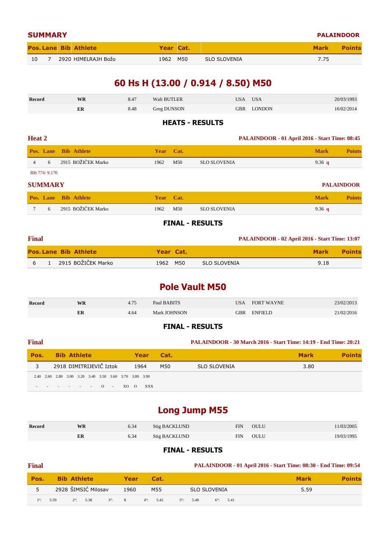| <b>SUMMARY</b> |  |  |                              |           |     |                     |             | <b>PALAINDOOR</b> |
|----------------|--|--|------------------------------|-----------|-----|---------------------|-------------|-------------------|
|                |  |  | <b>Pos. Lane Bib Athlete</b> | Year Cat. |     |                     | <b>Mark</b> | <b>Points</b>     |
| 10             |  |  | 2920 HIMELRAJH Božo          | 1962      | M50 | <b>SLO SLOVENIA</b> | 7.75        |                   |

### **60 Hs H (13.00 / 0.914 / 8.50) M50**

| Record | <b>WR</b> | 8.47 | <b>Walt BUTLER</b> | USA        | <b>USA</b> | 20/03/1993 |
|--------|-----------|------|--------------------|------------|------------|------------|
|        | ER        | 8.48 | Greg DUNSON        | <b>GBR</b> | LONDON     | 16/02/2014 |

#### **HEATS - RESULTS**

| <b>Heat 2</b> |                |                              |           |     | PALAINDOOR - 01 April 2016 - Start Time: 08:45 |             |               |  |
|---------------|----------------|------------------------------|-----------|-----|------------------------------------------------|-------------|---------------|--|
|               |                | <b>Pos. Lane Bib Athlete</b> | Year Cat. |     |                                                | <b>Mark</b> | <b>Points</b> |  |
|               | 6              | 2915 BOŽIČEK Marko           | 1962      | M50 | <b>SLO SLOVENIA</b>                            | 9.36 $q$    |               |  |
|               | Bib 774: 9.170 |                              |           |     |                                                |             |               |  |
|               |                |                              |           |     |                                                |             |               |  |

#### **SUMMARY PALAINDOOR**

|  | <b>Pos. Lane Bib Athlete</b> | Year Cat. |     |              | Mark     | <b>Points</b> |
|--|------------------------------|-----------|-----|--------------|----------|---------------|
|  | 2915 BOŽIČEK Marko           | 1962      | M50 | SLO SLOVENIA | 9.36 $q$ |               |

#### **FINAL - RESULTS**

| <b>Final</b> |                              |           |              | <b>PALAINDOOR - 02 April 2016 - Start Time: 13:07</b> |               |
|--------------|------------------------------|-----------|--------------|-------------------------------------------------------|---------------|
|              | <b>Pos. Lane Bib Athlete</b> | Year Cat. |              | <b>Mark</b>                                           | <b>Points</b> |
|              | 2915 BOŽIČEK Marko           | 1962 M50  | SLO SLOVENIA | 9.18                                                  |               |

### **Pole Vault M50**

| <b>Record</b> | <b>WR</b> | 4.75 | Paul BABITS         | 'JSA | FORT WAYNE     | 23/02/2013 |
|---------------|-----------|------|---------------------|------|----------------|------------|
|               | ER        | 4.64 | <b>Mark JOHNSON</b> | GBR  | <b>ENFIELD</b> | 21/02/2016 |

#### **FINAL - RESULTS**

#### **Final PALAINDOOR - 30 March 2016 - Start Time: 14:19 - End Time: 20:21**

| <b>Pos.</b> Bib Athlete                                |  |  |                         |  |      |                         | Year Cat. |                     | <b>Mark</b> |  |
|--------------------------------------------------------|--|--|-------------------------|--|------|-------------------------|-----------|---------------------|-------------|--|
|                                                        |  |  | 2918 DIMITRIJEVIČ Iztok |  | 1964 |                         | M50       | <b>SLO SLOVENIA</b> | 3.80        |  |
| 2.40 2.60 2.80 3.00 3.20 3.40 3.50 3.60 3.70 3.80 3.90 |  |  |                         |  |      |                         |           |                     |             |  |
|                                                        |  |  |                         |  |      | $     0$ $-$ XO $0$ XXX |           |                     |             |  |

### **Long Jump M55**

| Record | <b>WR</b> | 6.34 | <b>Stig BACKLUND</b> | FIN | OULU | 11/03/2005 |
|--------|-----------|------|----------------------|-----|------|------------|
|        | ER        | 6.34 | <b>Stig BACKLUND</b> | FIN | OULU | 19/03/1995 |

#### **FINAL - RESULTS**

### **Final PALAINDOOR - 01 April 2016 - Start Time: 08:30 - End Time: 09:54**

| Pos. |                    | <b>Bib Athlete</b>  |                 | Year | Cat.               |  |                     |  |                    | <b>Mark</b> |  |
|------|--------------------|---------------------|-----------------|------|--------------------|--|---------------------|--|--------------------|-------------|--|
| 5    |                    | 2928 ŠIMSIĆ Milosav |                 | 1960 | M55                |  | <b>SLO SLOVENIA</b> |  |                    | 5.59        |  |
|      | $1^{\circ}$ : 5.59 | $2^{\circ}$ : 5.38  | $3^\circ$ : $X$ |      | $4^{\circ}$ : 5.42 |  | $5^{\circ}$ : 5.48  |  | $6^{\circ}$ : 5.41 |             |  |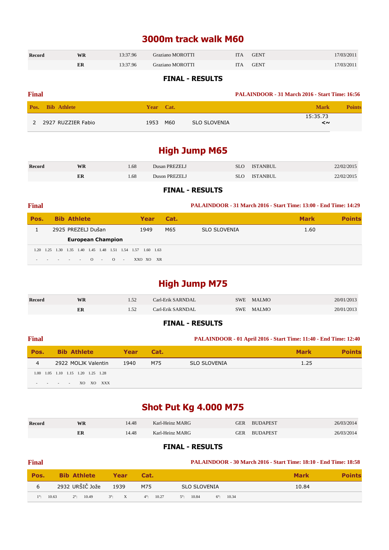### **3000m track walk M60**

| <b>Record</b> | <b>WR</b> | 13:37.96 | <b>Graziano MOROTTI</b> | ПA | <b>GENT</b> | 17/03/2011 |
|---------------|-----------|----------|-------------------------|----|-------------|------------|
|               | ER        | 13:37.96 | <b>Graziano MOROTTI</b> | ПA | <b>GENT</b> | 17/03/2011 |

#### **FINAL - RESULTS**

| <b>Final</b> |                         |             | <b>PALAINDOOR - 31 March 2016 - Start Time: 16:56</b> |                              |
|--------------|-------------------------|-------------|-------------------------------------------------------|------------------------------|
|              | <b>Pos.</b> Bib Athlete | Year Cat.   |                                                       | <b>Mark</b><br><b>Points</b> |
|              | 2 2927 RUZZIER Fabio    | M60<br>1953 | SLO SLOVENIA                                          | 15:35.73<br>≺~               |

### **High Jump M65**

| <b>Record</b> | WR | .68 | Dusan PREZELJ | SLO | <b>ISTANBUL</b> | 22/02/2015 |
|---------------|----|-----|---------------|-----|-----------------|------------|
|               | ER | .68 | Duson PREZELJ | SLO | ISTANBUL        | 22/02/2015 |

#### **FINAL - RESULTS**

| <b>Final</b> |                                                   |                    |          |                          |        |               |           |      | PALAINDOOR - 31 March 2016 - Start Time: 13:00 - End Time: 14:29 |             |               |
|--------------|---------------------------------------------------|--------------------|----------|--------------------------|--------|---------------|-----------|------|------------------------------------------------------------------|-------------|---------------|
| Pos.         |                                                   | <b>Bib Athlete</b> |          |                          |        | Year          |           | Cat. |                                                                  | <b>Mark</b> | <b>Points</b> |
|              | 2925 PREZELJ Dušan                                |                    |          |                          |        | 1949          |           | M65  | <b>SLO SLOVENIA</b>                                              | 1.60        |               |
|              |                                                   |                    |          | <b>European Champion</b> |        |               |           |      |                                                                  |             |               |
|              | 1.20 1.25 1.30 1.35 1.40 1.45 1.48 1.51 1.54 1.57 |                    |          |                          |        | $1.60$ $1.63$ |           |      |                                                                  |             |               |
|              | $    -$ 0                                         |                    | $\sim$ 0 |                          | $\sim$ | XXQ XQ        | <b>XR</b> |      |                                                                  |             |               |

### **High Jump M75**

| <b>Record</b> | WR | .52 | Carl-Erik SARNDAL | SWE | MALMO | 20/01/2013 |
|---------------|----|-----|-------------------|-----|-------|------------|
|               | ER | .52 | Carl-Erik SARNDAL | SWE | MALMO | 20/01/2013 |

#### **FINAL - RESULTS**

### **Final PALAINDOOR - 01 April 2016 - Start Time: 11:40 - End Time: 12:40 Pos.** Bib Athlete Year Cat. Mark **Points** 4 2922 MOLJK Valentin 1940 M75 SLO SLOVENIA 1.25 1.00 1.05 1.10 1.15 1.20 1.25 1.28 - - - - XO XO XXX

### **Shot Put Kg 4.000 M75**

| Record | WR | 14.48 | Karl-Heinz MARG | GER | <b>BUDAPEST</b> | 26/03/2014 |
|--------|----|-------|-----------------|-----|-----------------|------------|
|        | ER | 14.48 | Karl-Heinz MARG | GER | <b>BUDAPEST</b> | 26/03/2014 |

| <b>Final</b> |                              |               |                     | <b>PALAINDOOR - 30 March 2016 - Start Time: 18:10 - End Time: 18:58</b> |             |               |  |  |  |  |
|--------------|------------------------------|---------------|---------------------|-------------------------------------------------------------------------|-------------|---------------|--|--|--|--|
| Pos.         | <b>Bib Athlete</b>           | Year          | Cat.                |                                                                         | <b>Mark</b> | <b>Points</b> |  |  |  |  |
| 6            | 2932 URŠIČ Jože              | 1939          | M75                 | SLO SLOVENIA                                                            | 10.84       |               |  |  |  |  |
| $1^\circ$ :  | 10.63<br>$2^{\circ}$ : 10.49 | $3^\circ$ : X | $4^{\circ}$ : 10.27 | $5^\circ$ : 10.84<br>$6^\circ$ : 10.34                                  |             |               |  |  |  |  |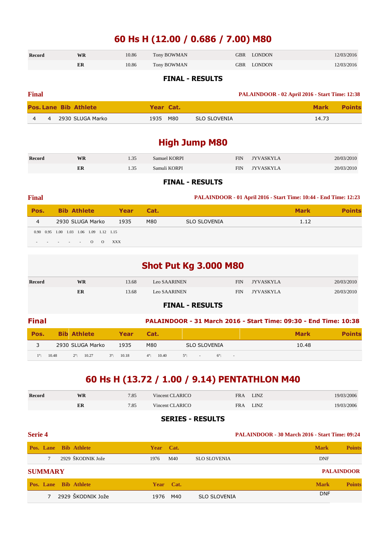### **60 Hs H (12.00 / 0.686 / 7.00) M80**

| Record | <b>WR</b> | 10.86 | Tony BOWMAN | GBR LONDON | 12/03/2016 |
|--------|-----------|-------|-------------|------------|------------|
|        | ER        | 10.86 | Tony BOWMAN | GBR LONDON | 12/03/2016 |

#### **FINAL - RESULTS**

| <b>Final</b> |   |                              |           | PALAINDOOR - 02 April 2016 - Start Time: 12:38 |             |               |
|--------------|---|------------------------------|-----------|------------------------------------------------|-------------|---------------|
|              |   | <b>Pos. Lane Bib Athlete</b> | Year Cat. |                                                | <b>Mark</b> | <b>Points</b> |
|              | 4 | 2930 SLUGA Marko             | 1935 M80  | SLO SLOVENIA                                   | 14.73       |               |

### **High Jump M80**

| <b>Record</b> | <b>WR</b> | 1.35 | Samuel KORPI | <b>FIN</b> | <b>IYVASKYLA</b> | 20/03/2010 |
|---------------|-----------|------|--------------|------------|------------------|------------|
|               | ER        | 1.35 | Samuli KORPI | FIN        | <b>JYVASKYLA</b> | 20/03/2010 |

#### **FINAL - RESULTS**

| <b>Final</b> |                                                        |            |      |                     | <b>PALAINDOOR - 01 April 2016 - Start Time: 10:44 - End Time: 12:23</b> |               |
|--------------|--------------------------------------------------------|------------|------|---------------------|-------------------------------------------------------------------------|---------------|
| Pos.         | <b>Bib Athlete</b>                                     | Year       | Cat. |                     | <b>Mark</b>                                                             | <b>Points</b> |
| 4            | 2930 SLUGA Marko                                       | 1935       | M80  | <b>SLO SLOVENIA</b> | 1.12                                                                    |               |
|              | 0.90 0.95 1.00 1.03 1.06 1.09 1.12 1.15                |            |      |                     |                                                                         |               |
|              | $\Omega$<br>$\Omega$<br>and the state of the<br>$\sim$ | <b>XXX</b> |      |                     |                                                                         |               |

| <b>Shot Put Kg 3.000 M80</b> |                              |       |              |                                                                  |                  |             |               |  |
|------------------------------|------------------------------|-------|--------------|------------------------------------------------------------------|------------------|-------------|---------------|--|
| <b>Record</b>                | <b>WR</b>                    | 13.68 | Leo SAARINEN | <b>FIN</b>                                                       | <b>JYVASKYLA</b> |             | 20/03/2010    |  |
|                              | ER                           | 13.68 | Leo SAARINEN | <b>FIN</b>                                                       | <b>JYVASKYLA</b> |             | 20/03/2010    |  |
| <b>FINAL - RESULTS</b>       |                              |       |              |                                                                  |                  |             |               |  |
| <b>Final</b>                 |                              |       |              | PALAINDOOR - 31 March 2016 - Start Time: 09:30 - End Time: 10:38 |                  |             |               |  |
| Pos.                         | <b>Athlete</b><br><b>Bib</b> | Year  | Cat.         |                                                                  |                  | <b>Mark</b> | <b>Points</b> |  |

|             |       | _____               | _______              | _____               |                                              |       |
|-------------|-------|---------------------|----------------------|---------------------|----------------------------------------------|-------|
| ◡           |       | 2930 SLUGA Marko    | 1935                 | M80                 | <b>SLO SLOVENIA</b>                          | 10.48 |
| $1^{\circ}$ | 10.48 | $2^{\circ}$ : 10.27 | 10.18<br>$3^\circ$ : | $4^{\circ}$ : 10.40 | $5^\circ$ :<br>$6^\circ$<br>$\sim$<br>$\sim$ |       |

### **60 Hs H (13.72 / 1.00 / 9.14) PENTATHLON M40**

| <b>Record</b> | WR | 7.85 | Vincent CLARICO | <b>FRA</b> | <b>LINZ</b> | 19/03/2006 |
|---------------|----|------|-----------------|------------|-------------|------------|
|               | ER | 7.85 | Vincent CLARICO | <b>FRA</b> | LINZ        | 19/03/2006 |

#### **SERIES - RESULTS**

### **Serie 4 PALAINDOOR - 30 March 2016 - Start Time: 09:24 Pos. Lane Bib Athlete Year Cat. Mark Points** 7 2929 ŠKODNIK Jože 1976 M40 SLO SLOVENIA DNF **SUMMARY PALAINDOOR Pos. Lane Bib Athlete Year Cat. Mark Points** 7 2929 ŠKODNIK Jože 1976 M40 SLO SLOVENIA DNF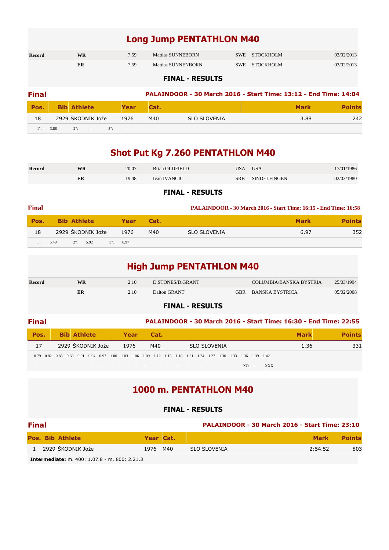### **Long Jump PENTATHLON M40**

| <b>Record</b> | WR | 7.59 | Mattias SUNNEBORN  | SWE STOCKHOLM | 03/02/2013 |
|---------------|----|------|--------------------|---------------|------------|
|               | ER | 7.59 | Mattias SUNNENBORN | SWE STOCKHOLM | 03/02/2013 |

#### **FINAL - RESULTS**

| <b>Final</b> |      |                    |           |             |     |                     | PALAINDOOR - 30 March 2016 - Start Time: 13:12 - End Time: 14:04 |     |
|--------------|------|--------------------|-----------|-------------|-----|---------------------|------------------------------------------------------------------|-----|
| Pos.         |      | <b>Bib Athlete</b> |           | <b>Year</b> |     |                     | <b>Mark</b>                                                      |     |
| 18           |      | 2929 ŠKODNIK Jože  |           | 1976        | M40 | <b>SLO SLOVENIA</b> | 3.88                                                             | 242 |
| $1^\circ$    | 3.88 | $2^{\circ}$ :      | $3^\circ$ |             |     |                     |                                                                  |     |

### **Shot Put Kg 7.260 PENTATHLON M40**

| Record | WR | 20.07 | Brian OLDFIELD | <b>USA</b> | <b>USA</b>    | 7/01/1986  |
|--------|----|-------|----------------|------------|---------------|------------|
|        | ER | 19.48 | Ivan IVANCIC   | SRB        | SINDEL FINGEN | 02/03/1980 |

#### **FINAL - RESULTS**

| <b>Final</b>            |      |                    |             |      |      | <b>PALAINDOOR - 30 March 2016 - Start Time: 16:15 - End Time: 16:58</b> |             |               |
|-------------------------|------|--------------------|-------------|------|------|-------------------------------------------------------------------------|-------------|---------------|
| Pos.                    |      | <b>Bib Athlete</b> |             | Year | Cat. |                                                                         | <b>Mark</b> | <b>Points</b> |
| 18                      |      | 2929 ŠKODNIK Jože  |             | 1976 | M40  | <b>SLO SLOVENIA</b>                                                     | 6.97        | 352           |
| $\setminus 1^{\circ}$ : | 6.49 | $2^{\circ}$ : 5.92 | $3^\circ$ : | 6.97 |      |                                                                         |             |               |

|  | <b>High Jump PENTATHLON M40</b> |
|--|---------------------------------|
|--|---------------------------------|

|               |    |      | <b>FINAL - RESULTS</b> |            |                         |            |
|---------------|----|------|------------------------|------------|-------------------------|------------|
|               | ER | 2.10 | Dalton GRANT           | <b>GBR</b> | BANSKA BYSTRICA         | 05/02/2008 |
| <b>Record</b> | WR | 2.10 | D.STONES/D.GRANT       |            | COLUMBIA/BANSKA BYSTRIA | 25/03/1994 |

| <b>Final</b>                                                                                                  |  |                    |                   |      |      |      |  |                                         |  |                                   |        |     |             |      | PALAINDOOR - 30 March 2016 - Start Time: 16:30 - End Time: 22:55 |
|---------------------------------------------------------------------------------------------------------------|--|--------------------|-------------------|------|------|------|--|-----------------------------------------|--|-----------------------------------|--------|-----|-------------|------|------------------------------------------------------------------|
| Pos.                                                                                                          |  | <b>Bib Athlete</b> |                   |      | Year | Cat. |  |                                         |  |                                   |        |     | <b>Mark</b> |      | Points                                                           |
| 17                                                                                                            |  |                    | 2929 ŠKODNIK Jože | 1976 |      | M40  |  | <b>SLO SLOVENIA</b>                     |  |                                   |        |     |             | 1.36 | 331                                                              |
| 0.79 0.82 0.85 0.88 0.91 0.94 0.97 1.00 1.03 1.06 1.09 1.12 1.15 1.18 1.21 1.24 1.27 1.30 1.33 1.36 1.39 1.42 |  |                    |                   |      |      |      |  |                                         |  |                                   |        |     |             |      |                                                                  |
|                                                                                                               |  |                    |                   |      |      |      |  | the second control of the second second |  | <b>Contract Contract Contract</b> | $XO -$ | XXX |             |      |                                                                  |

### **1000 m. PENTATHLON M40**

#### **FINAL - RESULTS**

| <b>Final</b> |                                                            |          |           | <b>PALAINDOOR - 30 March 2016 - Start Time: 23:10</b> |         |               |
|--------------|------------------------------------------------------------|----------|-----------|-------------------------------------------------------|---------|---------------|
|              | <b>Pos. Bib Athlete</b>                                    |          | Year Cat. |                                                       | Mark    | <b>Points</b> |
|              | 2929 ŠKODNIK Jože                                          | 1976 M40 |           | SLO SLOVENIA                                          | 2:54.52 | 803           |
|              | $T_{\text{subcomod}}$ distance 400. 1.07.0 ms, 000. 3.31.3 |          |           |                                                       |         |               |

**Intermediate:** m. 400: 1.07.8 - m. 800: 2.21.3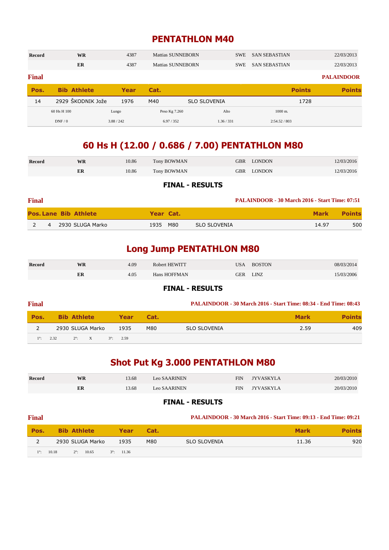### **PENTATHLON M40**

| Record       | <b>WR</b>          | 4387  | Mattias SUNNEBORN |                     | <b>SWE</b> | <b>SAN SEBASTIAN</b> | 22/03/2013        |
|--------------|--------------------|-------|-------------------|---------------------|------------|----------------------|-------------------|
|              | ER                 | 4387  | Mattias SUNNEBORN |                     | <b>SWE</b> | <b>SAN SEBASTIAN</b> | 22/03/2013        |
| <b>Final</b> |                    |       |                   |                     |            |                      | <b>PALAINDOOR</b> |
|              |                    |       |                   |                     |            |                      |                   |
| Pos.         | <b>Bib Athlete</b> | Year  | Cat.              |                     |            | <b>Points</b>        |                   |
| 14           | 2929 ŠKODNIK Jože  | 1976  | M40               | <b>SLO SLOVENIA</b> |            | 1728                 | <b>Points</b>     |
|              | 60 Hs H 100        | Lungo | Peso Kg 7.260     | Alto                |            | $1000$ m.            |                   |

### **60 Hs H (12.00 / 0.686 / 7.00) PENTATHLON M80**

| <b>Record</b> | WR | 10.86 | Tony BOWMAN | GBR LONDON | 12/03/2016 |
|---------------|----|-------|-------------|------------|------------|
|               | ER | 10.86 | Tony BOWMAN | GBR LONDON | 12/03/2016 |

#### **FINAL - RESULTS**

| <b>Final</b> |                |                              |           |                     | <b>PALAINDOOR - 30 March 2016 - Start Time: 07:51</b> |               |
|--------------|----------------|------------------------------|-----------|---------------------|-------------------------------------------------------|---------------|
|              |                | <b>Pos. Lane Bib Athlete</b> | Year Cat. |                     | <b>Mark</b>                                           | <b>Points</b> |
|              | $\overline{4}$ | 2930 SLUGA Marko             | 1935 M80  | <b>SLO SLOVENIA</b> | 14.97                                                 | 500           |

### **Long Jump PENTATHLON M80**

| <b>Record</b> | WR | 4.09 | Robert HEWITT | USA        | <b>BOSTON</b> | 08/03/2014 |
|---------------|----|------|---------------|------------|---------------|------------|
|               | ER | 4.05 | Hans HOFFMAN  | <b>GER</b> | linz          | 15/03/2006 |

#### **FINAL - RESULTS**

| <b>Final</b> |                         |                    |      | <b>PALAINDOOR - 30 March 2016 - Start Time: 08:34 - End Time: 08:43</b> |             |               |
|--------------|-------------------------|--------------------|------|-------------------------------------------------------------------------|-------------|---------------|
| Pos.         | <b>Bib Athlete</b>      | Year               | Cat. |                                                                         | <b>Mark</b> | <b>Points</b> |
|              | 2930 SLUGA Marko        | 1935               | M80  | <b>SLO SLOVENIA</b>                                                     | 2.59        | 409           |
| $1^\circ$ :  | 2.32<br>$2^{\circ}$ : X | $3^{\circ}$ : 2.59 |      |                                                                         |             |               |

## **Shot Put Kg 3.000 PENTATHLON M80**

| Record | <b>WR</b> | 13.68 | Leo SAARINEN        | <b>FIN</b> | <b>JYVASKYLA</b> | 20/03/2010 |
|--------|-----------|-------|---------------------|------------|------------------|------------|
|        | ER        | 3.68  | <b>Leo SAARINEN</b> | FIN        | <b>JYVASKYLA</b> | 20/03/2010 |

| <b>Final</b> |                              |                     |      | <b>PALAINDOOR - 30 March 2016 - Start Time: 09:13 - End Time: 09:21</b> |             |               |
|--------------|------------------------------|---------------------|------|-------------------------------------------------------------------------|-------------|---------------|
| Pos.         | <b>Bib Athlete</b>           | Year                | Cat. |                                                                         | <b>Mark</b> | <b>Points</b> |
|              | 2930 SLUGA Marko             | 1935                | M80  | <b>SLO SLOVENIA</b>                                                     | 11.36       | 920           |
| $1^\circ$    | 10.18<br>$2^{\circ}$ : 10.65 | $3^{\circ}$ : 11.36 |      |                                                                         |             |               |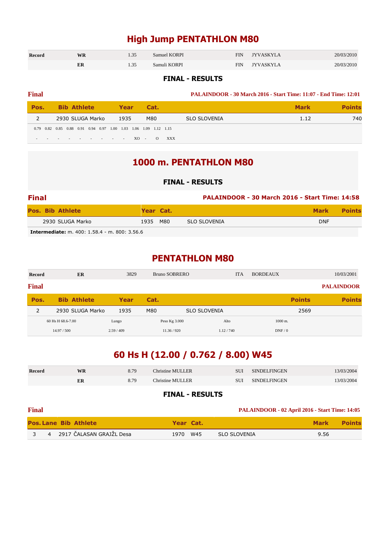### **High Jump PENTATHLON M80**

| <b>Record</b> | <b>WR</b> | 1.OJ         | Samuel KORPI | FIN | <b>TYVASKYLA</b> | 20/03/2010 |
|---------------|-----------|--------------|--------------|-----|------------------|------------|
|               | ĿЛ        | . . <i>.</i> | Samuli KORPI | FIN | <b>TYVASKYLA</b> | 20/03/2010 |

#### **FINAL - RESULTS**

### **Final PALAINDOOR - 30 March 2016 - Start Time: 11:07 - End Time: 12:01 Pos.** Bib Athlete Year Cat. Mark **Points** 2 2930 SLUGA Marko 1935 M80 SLO SLOVENIA 1.12 1.12 740 0.79 0.82 0.85 0.88 0.91 0.94 0.97 1.00 1.03 1.06 1.09 1.12 1.15 - - - - - - - - - XO - O XXX

### **1000 m. PENTATHLON M80**

#### **FINAL - RESULTS**

| <b>Final</b>                                         |           |                     | PALAINDOOR - 30 March 2016 - Start Time: 14:58 |               |
|------------------------------------------------------|-----------|---------------------|------------------------------------------------|---------------|
| <b>Pos. Bib Athlete</b>                              | Year Cat. |                     | <b>Mark</b>                                    | <b>Points</b> |
| 2930 SLUGA Marko                                     | 1935 M80  | <b>SLO SLOVENIA</b> | <b>DNF</b>                                     |               |
| <b>Intermediate:</b> m. 400: 1.58.4 - m. 800: 3.56.6 |           |                     |                                                |               |

#### **PENTATHLON M80**

| Record       | ER                 | 3829     | <b>Bruno SOBRERO</b> | <b>ITA</b>          | <b>BORDEAUX</b> | 10/03/2001        |
|--------------|--------------------|----------|----------------------|---------------------|-----------------|-------------------|
| <b>Final</b> |                    |          |                      |                     |                 | <b>PALAINDOOR</b> |
| Pos.         | <b>Bib Athlete</b> | Year     | Cat.                 |                     | <b>Points</b>   | <b>Points</b>     |
| 2            | 2930 SLUGA Marko   | 1935     | M80                  | <b>SLO SLOVENIA</b> | 2569            |                   |
|              | 60 Hs H 68.6-7.00  | Lungo    | Peso Kg 3.000        | Alto                | $1000$ m.       |                   |
|              | 14.97 / 500        | 2.59/409 | 11.36 / 920          | 1.12/740            | DNF/0           |                   |

### **60 Hs H (12.00 / 0.762 / 8.00) W45**

| <b>Record</b> | WR | 8.79 | <b>Christine MULLER</b> | SUI | <b>SINDELFINGEN</b> | 13/03/2004 |
|---------------|----|------|-------------------------|-----|---------------------|------------|
|               | ER | 8.79 | <b>Christine MULLER</b> | SUI | SINDEL FINGEN       | 13/03/2004 |

#### **FINAL - RESULTS**

#### **Final PALAINDOOR - 02 April 2016 - Start Time: 14:05**

|  | <b>Pos. Lane Bib Athlete</b>   |          | Year Cat. |              | <b>Mark</b> | <b>Points</b> |
|--|--------------------------------|----------|-----------|--------------|-------------|---------------|
|  | 4     2917 ČALASAN GRAJŽL Desa | 1970 W45 |           | SLO SLOVENIA | 9.56        |               |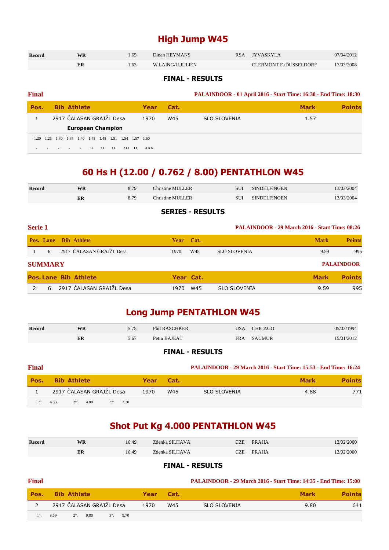### **High Jump W45**

| <b>Record</b> | WR | 4.65 | Dinah HEYMANS    | <b>RSA</b> | <b>IYVASKYLA</b>              | 07/04/2012 |
|---------------|----|------|------------------|------------|-------------------------------|------------|
|               | ER | . 63 | W.LAING/U.JULIEN |            | <b>CLERMONT F./DUSSELDORF</b> | 17/03/2008 |

#### **FINAL - RESULTS**

| <b>Final</b> |      |                          |      |      |          |                          |          |                     |          |            |      |                     | PALAINDOOR - 01 April 2016 - Start Time: 16:38 - End Time: 18:30 |               |
|--------------|------|--------------------------|------|------|----------|--------------------------|----------|---------------------|----------|------------|------|---------------------|------------------------------------------------------------------|---------------|
| Pos.         |      | <b>Bib Athlete</b>       |      |      |          |                          |          |                     |          | Year       | Cat. |                     | <b>Mark</b>                                                      | <b>Points</b> |
|              |      | 2917 ČALASAN GRAJŽL Desa |      |      |          |                          |          |                     |          | 1970       | W45  | <b>SLO SLOVENIA</b> | 1.57                                                             |               |
|              |      |                          |      |      |          | <b>European Champion</b> |          |                     |          |            |      |                     |                                                                  |               |
| 1.20         | 1.25 | 1.30                     | 1.35 | 1.40 | 1.45     | 1.48                     |          | 1.51 1.54 1.57 1.60 |          |            |      |                     |                                                                  |               |
|              |      |                          |      |      | $\Omega$ | $\Omega$                 | $\Omega$ | XO.                 | $\Omega$ | <b>XXX</b> |      |                     |                                                                  |               |

### **60 Hs H (12.00 / 0.762 / 8.00) PENTATHLON W45**

| Record | WR | 8.79 | Christine MULLER | SUI | SINDEL FINGEN | 13/03/2004 |
|--------|----|------|------------------|-----|---------------|------------|
|        | ER | 8.79 | Christine MULLER | SUI | SINDEL FINGEN | 13/03/2004 |
|        |    |      |                  |     |               |            |

#### **SERIES - RESULTS**

| <b>Serie 1</b> |                |                              |           | <b>PALAINDOOR - 29 March 2016 - Start Time: 08:26</b> |                     |             |                   |
|----------------|----------------|------------------------------|-----------|-------------------------------------------------------|---------------------|-------------|-------------------|
|                | Pos. Lane      | <b>Bib Athlete</b>           | Year Cat. |                                                       |                     | <b>Mark</b> | <b>Points</b>     |
|                | 6              | 2917 ČALASAN GRAJŽL Desa     | 1970      | W45                                                   | <b>SLO SLOVENIA</b> | 9.59        | 995               |
|                | <b>SUMMARY</b> |                              |           |                                                       |                     |             | <b>PALAINDOOR</b> |
|                |                | <b>Pos. Lane Bib Athlete</b> | Year Cat. |                                                       |                     | <b>Mark</b> | <b>Points</b>     |
|                | 6              | 2917 ČALASAN GRAJŽL Desa     | 1970      | W45                                                   | <b>SLO SLOVENIA</b> | 9.59        | 995               |

### **Long Jump PENTATHLON W45**

| <b>Record</b> | WR | 5.75 | Phil RASCHKER | <b>USA</b> | <b>CHICAGO</b> | 05/03/1994 |
|---------------|----|------|---------------|------------|----------------|------------|
|               | ER | 5.67 | Petra BAJEAT  | <b>FRA</b> | <b>SAUMUR</b>  | 15/01/2012 |

#### **FINAL - RESULTS**

| <b>Final</b> |                                                    |             |      | <b>PALAINDOOR - 29 March 2016 - Start Time: 15:53 - End Time: 16:24</b> |             |               |
|--------------|----------------------------------------------------|-------------|------|-------------------------------------------------------------------------|-------------|---------------|
| Pos.         | <b>Bib Athlete</b>                                 | <b>Year</b> | Cat. |                                                                         | <b>Mark</b> | <b>Points</b> |
|              | 2917 ČALASAN GRAJŽL Desa                           | 1970        | W45  | SLO SLOVENIA                                                            | 4.88        | 771           |
| $1^\circ$ :  | 4.83<br>4.88<br>3.70<br>$2^\circ$ :<br>$3^\circ$ : |             |      |                                                                         |             |               |

### **Shot Put Kg 4.000 PENTATHLON W45**

| <b>Record</b> | WR | 16.49 | Zdenka SILHAVA | CZE  | <b>PRAHA</b> | 3/02/2000  |
|---------------|----|-------|----------------|------|--------------|------------|
|               | ER | 16.49 | Zdenka SILHAVA | CZE. | <b>PRAHA</b> | 13/02/2000 |

| <b>Final</b> |                                                 |      |      | <b>PALAINDOOR - 29 March 2016 - Start Time: 14:35 - End Time: 15:00</b> |             |               |
|--------------|-------------------------------------------------|------|------|-------------------------------------------------------------------------|-------------|---------------|
| Pos.         | <b>Bib Athlete</b>                              | Year | Cat. |                                                                         | <b>Mark</b> | <b>Points</b> |
|              | 2917 ČALASAN GRAJŽL Desa                        | 1970 | W45  | <b>SLO SLOVENIA</b>                                                     | 9.80        | 641           |
| $1^\circ$    | 9.80<br>$3^\circ$ : 9.70<br>8.69<br>$2^\circ$ : |      |      |                                                                         |             |               |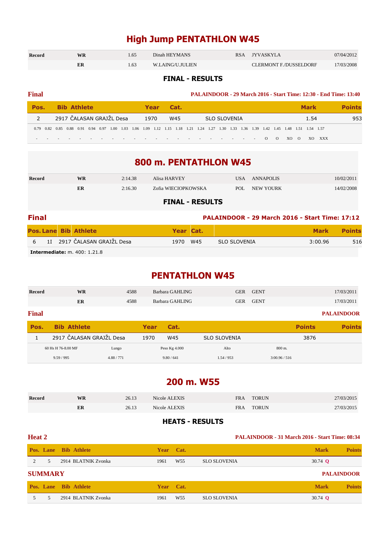### **High Jump PENTATHLON W45**

| Record | WR | . 65 | Dinah HEYMANS    | RSA JYVASKYLA                 | 07/04/2012 |
|--------|----|------|------------------|-------------------------------|------------|
|        | ER |      | W.LAING/U.JULIEN | <b>CLERMONT F./DUSSELDORF</b> | 17/03/2008 |

#### **FINAL - RESULTS**

| <b>Final</b> |                          |              | <b>PALAINDOOR - 29 March 2016 - Start Time: 12:30 - End Time: 13:40</b>                                                                |                    |               |
|--------------|--------------------------|--------------|----------------------------------------------------------------------------------------------------------------------------------------|--------------------|---------------|
| Pos.         | <b>Bib Athlete</b>       | Cat.<br>Year |                                                                                                                                        | <b>Mark</b>        | <b>Points</b> |
|              | 2917 ČALASAN GRAJŽL Desa | 1970<br>W45  | <b>SLO SLOVENIA</b>                                                                                                                    | 1.54               | 953           |
|              |                          |              | 0.79 0.82 0.85 0.88 0.91 0.94 0.97 1.00 1.03 1.06 1.09 1.12 1.15 1.18 1.21 1.24 1.27 1.30 1.33 1.36 1.39 1.42 1.45 1.48 1.51 1.54 1.57 |                    |               |
|              |                          |              | $\Omega$<br>$\circ$<br>the contract of the contract of the contract of the contract of the contract of the contract of the contract of | XXX<br>XO O<br>XO. |               |

### **800 m. PENTATHLON W45**

| <b>Record</b>          | <b>WR</b> | 2:14.38 | Alisa HARVEY        | USA  | ANNAPOLIS | 10/02/2011 |  |  |  |
|------------------------|-----------|---------|---------------------|------|-----------|------------|--|--|--|
|                        | ER        | 2:16.30 | Zofia WIECIOPKOWSKA | POL. | NEW YOURK | 14/02/2008 |  |  |  |
| <b>FINAL - RESULTS</b> |           |         |                     |      |           |            |  |  |  |

| <b>Final</b> |  |                                     |           |  | <b>PALAINDOOR - 29 March 2016 - Start Time: 17:12</b> |             |               |  |  |  |
|--------------|--|-------------------------------------|-----------|--|-------------------------------------------------------|-------------|---------------|--|--|--|
|              |  | <b>Pos. Lane Bib Athlete</b>        | Year Cat. |  |                                                       | <b>Mark</b> | <b>Points</b> |  |  |  |
|              |  | 6 1I 2917 ČALASAN GRAJŽL Desa       | 1970 W45  |  | SLO SLOVENIA                                          | 3:00.96     | 516           |  |  |  |
|              |  | <b>Intermediate:</b> m. 400: 1.21.8 |           |  |                                                       |             |               |  |  |  |

### **PENTATHLON W45**

| Record       | <b>WR</b>                | 4588       |            | Barbara GAHLING | <b>GER</b>          | <b>GENT</b>   |               | 17/03/2011        |
|--------------|--------------------------|------------|------------|-----------------|---------------------|---------------|---------------|-------------------|
|              | ER                       | 4588       |            | Barbara GAHLING | <b>GER</b>          | <b>GENT</b>   |               | 17/03/2011        |
| <b>Final</b> |                          |            |            |                 |                     |               |               | <b>PALAINDOOR</b> |
| Pos.         | <b>Bib Athlete</b>       |            | Year       | Cat.            |                     |               | <b>Points</b> | <b>Points</b>     |
|              | 2917 ČALASAN GRAJŽL Desa |            | 1970       | W45             | <b>SLO SLOVENIA</b> |               | 3876          |                   |
|              | 60 Hs H 76-8.00 MF       | Lungo      |            | Peso Kg 4.000   | Alto                | $800$ m.      |               |                   |
|              | 9.59/995                 | 4.88 / 771 | 9.80 / 641 |                 | 1.54/953            | 3:00.96 / 516 |               |                   |

### **200 m. W55**

| Record | WR | 26.13 | Nicole ALEXIS | FRA | <b>TORUN</b> | 27/03/2015 |
|--------|----|-------|---------------|-----|--------------|------------|
|        | ER | 26.13 | Nicole ALEXIS | FRA | <b>TORUN</b> | 27/03/2015 |

#### **HEATS - RESULTS**

| Heat 2         |                |                              |             |                 | <b>PALAINDOOR - 31 March 2016 - Start Time: 08:34</b> |                |                   |  |
|----------------|----------------|------------------------------|-------------|-----------------|-------------------------------------------------------|----------------|-------------------|--|
|                |                | <b>Pos. Lane Bib Athlete</b> | Year Cat.   |                 |                                                       | <b>Mark</b>    | <b>Points</b>     |  |
| $\overline{2}$ | 5.             | 2914 BLATNIK Zvonka          | 1961        | W <sub>55</sub> | <b>SLO SLOVENIA</b>                                   | 30.74 $\Omega$ |                   |  |
|                | <b>SUMMARY</b> |                              |             |                 |                                                       |                | <b>PALAINDOOR</b> |  |
|                |                | <b>Pos. Lane Bib Athlete</b> | <b>Year</b> | Cat.            |                                                       | <b>Mark</b>    | <b>Points</b>     |  |
|                | 5.             | 2914 BLATNIK Zvonka          | 1961        | W <sub>55</sub> | <b>SLO SLOVENIA</b>                                   | 30.74 $\Omega$ |                   |  |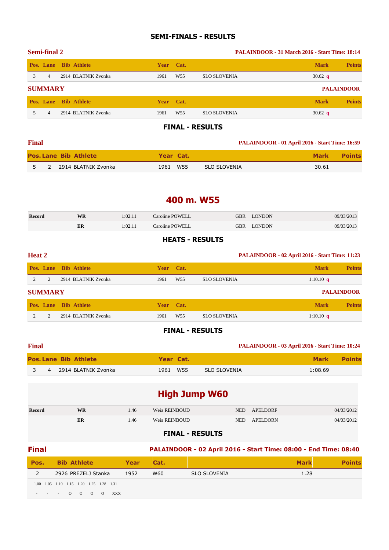#### **SEMI-FINALS - RESULTS**

|    | <b>Semi-final 2</b> |                     |             |                 | <b>PALAINDOOR - 31 March 2016 - Start Time: 18:14</b> |             |                   |  |
|----|---------------------|---------------------|-------------|-----------------|-------------------------------------------------------|-------------|-------------------|--|
|    | Pos. Lane           | <b>Bib</b> Athlete  | <b>Year</b> | Cat.            |                                                       | <b>Mark</b> | <b>Points</b>     |  |
| 3  | 4                   | 2914 BLATNIK Zvonka | 1961        | W <sub>55</sub> | <b>SLO SLOVENIA</b>                                   | 30.62 $q$   |                   |  |
|    | <b>SUMMARY</b>      |                     |             |                 |                                                       |             | <b>PALAINDOOR</b> |  |
|    | Pos. Lane           | <b>Bib</b> Athlete  | <b>Year</b> | Cat.            |                                                       | <b>Mark</b> | <b>Points</b>     |  |
| 5. | 4                   | 2914 BLATNIK Zvonka | 1961        | W <sub>55</sub> | <b>SLO SLOVENIA</b>                                   | 30.62 $q$   |                   |  |

#### **FINAL - RESULTS**

| <b>Final</b> |  |                              |           |  | PALAINDOOR - 01 April 2016 - Start Time: 16:59 |             |               |
|--------------|--|------------------------------|-----------|--|------------------------------------------------|-------------|---------------|
|              |  | <b>Pos. Lane Bib Athlete</b> | Year Cat. |  |                                                | <b>Mark</b> | <b>Points</b> |
|              |  | 2 2914 BLATNIK Zvonka        | 1961 W55  |  | SLO SLOVENIA                                   | 30.61       |               |

### **400 m. W55**

| Record | WR | 1:02.11 | Caroline POWELL | <b>GBR</b> | <b>LONDON</b> | 09/03/2013 |
|--------|----|---------|-----------------|------------|---------------|------------|
|        | ER | 1:02.11 | Caroline POWELL |            | GBR LONDON    | 09/03/2013 |
|        |    |         |                 |            |               |            |

#### **HEATS - RESULTS**

| <b>Heat 2</b> |                |                     |             |                 | PALAINDOOR - 02 April 2016 - Start Time: 11:23 |             |                   |
|---------------|----------------|---------------------|-------------|-----------------|------------------------------------------------|-------------|-------------------|
|               | Pos. Lane      | <b>Bib Athlete</b>  | <b>Year</b> | Cat.            |                                                | <b>Mark</b> | <b>Points</b>     |
| 2             | $\mathfrak{D}$ | 2914 BLATNIK Zvonka | 1961        | W <sub>55</sub> | <b>SLO SLOVENIA</b>                            | 1:10.10 $q$ |                   |
|               | <b>SUMMARY</b> |                     |             |                 |                                                |             | <b>PALAINDOOR</b> |
|               | Pos. Lane      | <b>Bib Athlete</b>  |             | Year Cat.       |                                                | <b>Mark</b> | <b>Points</b>     |
|               |                | 2914 BLATNIK Zvonka | 1961        | W <sub>55</sub> | <b>SLO SLOVENIA</b>                            | 1:10.10 $q$ |                   |

#### **FINAL - RESULTS**

| <b>Final</b> |                              |           |  | PALAINDOOR - 03 April 2016 - Start Time: 10:24 |         |        |
|--------------|------------------------------|-----------|--|------------------------------------------------|---------|--------|
|              | <b>Pos. Lane Bib Athlete</b> | Year Cat. |  |                                                | Mark    | Points |
|              | 4 2914 BLATNIK Zvonka        | 1961 W55  |  | SLO SLOVENIA                                   | 1:08.69 |        |

| <b>High Jump W60</b> |           |      |               |            |          |            |  |
|----------------------|-----------|------|---------------|------------|----------|------------|--|
| <b>Record</b>        | <b>WR</b> | 1.46 | Weia REINBOUD | NED.       | APELDORF | 04/03/2012 |  |
|                      | ER        | 1.46 | Weia REINBOUD | <b>NED</b> | APELDORN | 04/03/2012 |  |

| <b>Final</b> |                                                                                          |      |             |                     | PALAINDOOR - 02 April 2016 - Start Time: 08:00 - End Time: 08:40 |        |
|--------------|------------------------------------------------------------------------------------------|------|-------------|---------------------|------------------------------------------------------------------|--------|
| Pos.         | <b>Bib Athlete</b>                                                                       | Year | <b>Cat.</b> |                     | <b>Mark</b>                                                      | 'oints |
|              | 2926 PREZELJ Stanka                                                                      | 1952 | W60         | <b>SLO SLOVENIA</b> | 1.28                                                             |        |
|              | 1.00 1.05 1.10 1.15 1.20 1.25 1.28 1.31<br>$- - - 0 0 0$<br><b>XXX</b><br>$\overline{0}$ |      |             |                     |                                                                  |        |
|              |                                                                                          |      |             |                     |                                                                  |        |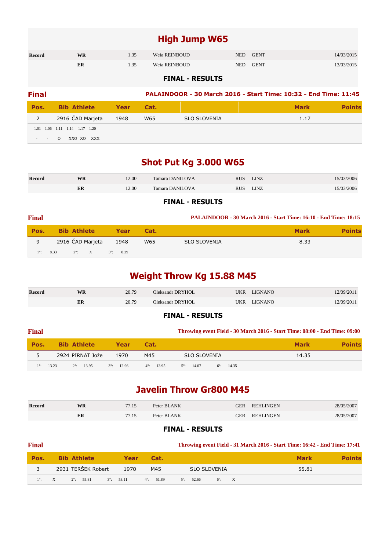### **High Jump W65**

| Record | WR<br>1.35 |      | Weia REINBOUD | <b>GENT</b><br>NED |             | 14/03/2015 |
|--------|------------|------|---------------|--------------------|-------------|------------|
|        | ER         | 1.35 | Weia REINBOUD | <b>NED</b>         | <b>GENT</b> | 13/03/2015 |

#### **FINAL - RESULTS**

| <b>Final</b> |                               |      |      | PALAINDOOR - 30 March 2016 - Start Time: 10:32 - End Time: 11:45 |             |       |  |  |  |
|--------------|-------------------------------|------|------|------------------------------------------------------------------|-------------|-------|--|--|--|
| Pos.         | <b>Bib Athlete</b>            | Year | Cat. |                                                                  | <b>Mark</b> | oints |  |  |  |
|              | 2916 ČAD Marjeta              | 1948 | W65  | <b>SLO SLOVENIA</b>                                              | 1.17        |       |  |  |  |
|              | 1.01 1.06 1.11 1.14 1.17 1.20 |      |      |                                                                  |             |       |  |  |  |
|              | XXO XO XXX<br>$\Omega$        |      |      |                                                                  |             |       |  |  |  |

### **Shot Put Kg 3.000 W65**

| Record | WR | 12.00 | <b>Tamara DANILOVA</b> | <b>RUS</b> | linz | 15/03/2006 |
|--------|----|-------|------------------------|------------|------|------------|
|        | ER | 12.00 | Tamara DANILOVA        | <b>RUS</b> | LINZ | 15/03/2006 |

#### **FINAL - RESULTS**

| <b>Final</b> |                         |                    |      |                     | <b>PALAINDOOR - 30 March 2016 - Start Time: 16:10 - End Time: 18:15</b> |               |
|--------------|-------------------------|--------------------|------|---------------------|-------------------------------------------------------------------------|---------------|
| Pos.         | <b>Bib Athlete</b>      | Year               | Cat. |                     | <b>Mark</b>                                                             | <b>Points</b> |
| 9            | 2916 ČAD Marjeta        | 1948               | W65  | <b>SLO SLOVENIA</b> | 8.33                                                                    |               |
| $1^\circ$ :  | 8.33<br>$2^{\circ}$ : X | $3^{\circ}$ : 8.29 |      |                     |                                                                         |               |

### **Weight Throw Kg 15.88 M45**

| <b>Record</b> | <b>WR</b> | 20.79 | Oleksandr DRYHOL |     | UKR LIGNANO    | 12/09/2011 |
|---------------|-----------|-------|------------------|-----|----------------|------------|
|               | ER        | 20.79 | Oleksandr DRYHOL | UKR | <b>LIGNANO</b> | 12/09/2011 |

#### **FINAL - RESULTS**

| <b>Final</b> |                    |                     |                     |                     |                     |                   | Throwing event Field - 30 March 2016 - Start Time: 08:00 - End Time: 09:00 |               |
|--------------|--------------------|---------------------|---------------------|---------------------|---------------------|-------------------|----------------------------------------------------------------------------|---------------|
| Pos.         | <b>Bib Athlete</b> |                     | <b>Example Year</b> | Cat.                |                     |                   | <b>Mark</b>                                                                | <b>Points</b> |
| 5            | 2924 PIRNAT Jože   |                     | 1970                | M45                 | <b>SLO SLOVENIA</b> |                   | 14.35                                                                      |               |
| $1^\circ$ :  | 13.23              | $2^{\circ}$ : 13.95 | $3^\circ$ : 12.96   | $4^{\circ}$ : 13.95 | $5^\circ$ : 14.07   | $6^\circ$ : 14.35 |                                                                            |               |

### **Javelin Throw Gr800 M45**

| Record | WR | 77.15 | Peter BLANK | GER | <b>REHLINGEN</b> | 28/05/2007 |
|--------|----|-------|-------------|-----|------------------|------------|
|        | ER | 77.15 | Peter BLANK | GER | <b>REHLINGEN</b> | 28/05/2007 |

| <b>Final</b>                 |   |                     |                     |      |                     |                   |                     |               | Throwing event Field - 31 March 2016 - Start Time: 16:42 - End Time: 17:41 |               |
|------------------------------|---|---------------------|---------------------|------|---------------------|-------------------|---------------------|---------------|----------------------------------------------------------------------------|---------------|
| Pos.                         |   | <b>Bib Athlete</b>  |                     | Year | Cat.                |                   |                     |               | <b>Mark</b>                                                                | <b>Points</b> |
|                              |   | 2931 TERŠEK Robert  |                     | 1970 | M45                 |                   | <b>SLO SLOVENIA</b> |               | 55.81                                                                      |               |
| $\setminus$ 1 <sup>o</sup> : | X | $2^{\circ}$ : 55.81 | $3^{\circ}$ : 53.11 |      | $4^{\circ}$ : 51.89 | $5^\circ$ : 52.66 |                     | $6^\circ$ : X |                                                                            |               |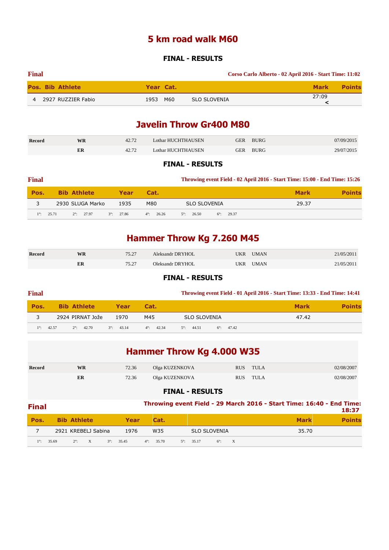### **5 km road walk M60**

#### **FINAL - RESULTS**

| <b>Final</b> |                         |           |                     | Corso Carlo Alberto - 02 April 2016 - Start Time: 11:02 |
|--------------|-------------------------|-----------|---------------------|---------------------------------------------------------|
|              | <b>Pos. Bib Athlete</b> | Year Cat. |                     | <b>Points</b><br><b>Mark</b>                            |
|              | 4 2927 RUZZIER Fabio    | 1953 M60  | <b>SLO SLOVENIA</b> | 27:09                                                   |

### **Javelin Throw Gr400 M80**

| Record | <b>WR</b> | 42.72 | Lothar HUCHTHAUSEN | GER | <b>BURG</b> | 07/09/2015 |
|--------|-----------|-------|--------------------|-----|-------------|------------|
|        |           | 42.72 | Lothar HUCHTHAUSEN | GER | <b>BURG</b> | 29/07/2015 |

#### **FINAL - RESULTS**

| <b>Final</b> |                              |                     |                     | Throwing event Field - 02 April 2016 - Start Time: 15:00 - End Time: 15:26 |             |               |  |  |
|--------------|------------------------------|---------------------|---------------------|----------------------------------------------------------------------------|-------------|---------------|--|--|
| Pos.         | <b>Bib Athlete</b>           | <b>Year</b>         | Cat.                |                                                                            | <b>Mark</b> | <b>Points</b> |  |  |
|              | 2930 SLUGA Marko             | 1935                | M80                 | <b>SLO SLOVENIA</b>                                                        | 29.37       |               |  |  |
| $1^\circ$ :  | 25.71<br>$2^{\circ}$ : 27.97 | $3^{\circ}$ : 27.86 | $4^{\circ}$ : 26.26 | $5^\circ$ : 26.50<br>$6^\circ$ : 29.37                                     |             |               |  |  |

## **Hammer Throw Kg 7.260 M45**

| <b>Record</b> | WR | 75.27 | Aleksandr DRYHOL |     | <b>UMAN</b> | 21/05/2011 |
|---------------|----|-------|------------------|-----|-------------|------------|
|               | ER | 75.27 | Oleksandr DRYHOL | JKR | <b>UMAN</b> | 21/05/2011 |

#### **FINAL - RESULTS**

| <b>Final</b> |                              |                     |                     | Throwing event Field - 01 April 2016 - Start Time: 13:33 - End Time: 14:41 |             |               |  |  |  |
|--------------|------------------------------|---------------------|---------------------|----------------------------------------------------------------------------|-------------|---------------|--|--|--|
| Pos.         | <b>Bib Athlete</b>           | <b>Year</b>         | Cat.                |                                                                            | <b>Mark</b> | <b>Points</b> |  |  |  |
|              | 2924 PIRNAT Jože             | 1970                | M45                 | SLO SLOVENIA                                                               | 47.42       |               |  |  |  |
| $1^{\circ}$  | 42.57<br>$2^{\circ}$ : 42.70 | $3^{\circ}$ : 43.14 | $4^\circ$ : $42.34$ | $5^\circ$ : 44.51<br>$6^\circ$ : 47.42                                     |             |               |  |  |  |

| <b>Hammer Throw Kg 4.000 W35</b> |  |
|----------------------------------|--|
|----------------------------------|--|

| <b>Record</b> | WR | 72.36 | Olga KUZENKOVA | <b>RUS</b> | <b>TULA</b> | 02/08/2007 |
|---------------|----|-------|----------------|------------|-------------|------------|
|               | ER | 72.36 | Olga KUZENKOVA | <b>RUS</b> | TULA        | 02/08/2007 |

| <b>Final</b> |       |                    |                     |             |       |                     |                   |                     | Throwing event Field - 29 March 2016 - Start Time: 16:40 - End Time: | 18:37 |
|--------------|-------|--------------------|---------------------|-------------|-------|---------------------|-------------------|---------------------|----------------------------------------------------------------------|-------|
| Pos.         |       | <b>Bib Athlete</b> |                     |             | Year  | Cat.                |                   |                     | <b>Mark</b>                                                          |       |
|              |       |                    | 2921 KREBELJ Sabina |             | 1976  | W35                 |                   | <b>SLO SLOVENIA</b> | 35.70                                                                |       |
| $1^{\circ}$  | 35.69 | $2^{\circ}$ : X    |                     | $3^\circ$ : | 35.45 | $4^{\circ}$ : 35.70 | $5^\circ$ : 35.17 | $6^\circ$ : X       |                                                                      |       |